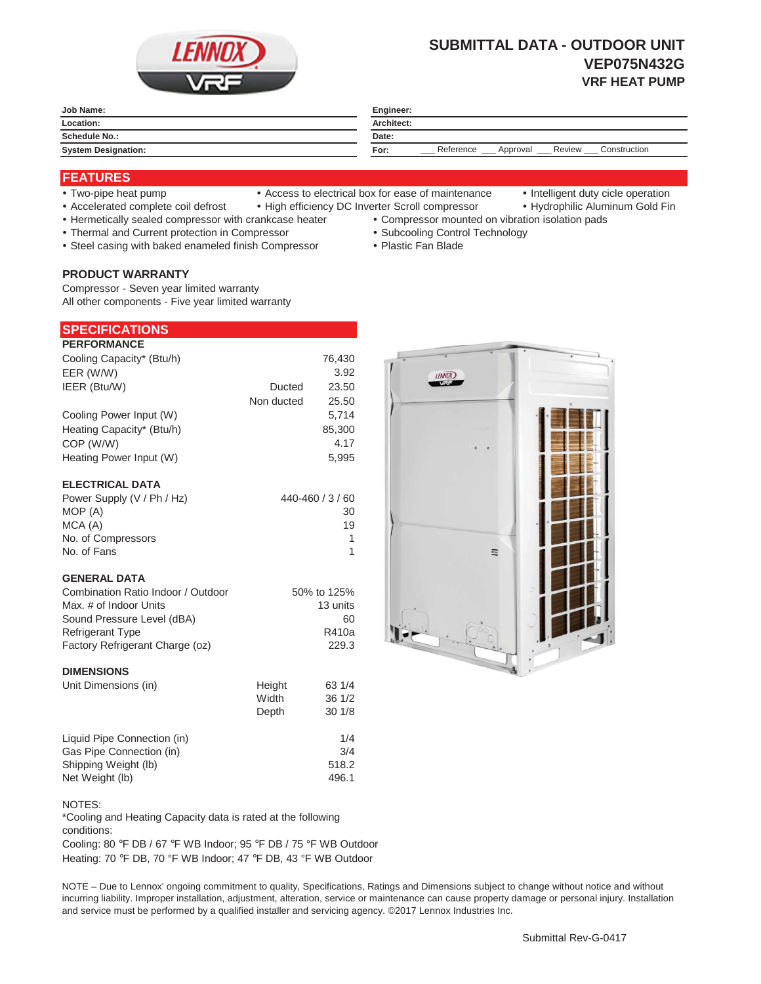

# **SUBMITTAL DATA - OUTDOOR UNIT VEP075N432G VRF HEAT PUMP**

| Job Name:                       | Engineer:<br>Architect:                                 |  |
|---------------------------------|---------------------------------------------------------|--|
| Location:                       |                                                         |  |
| <b>Schedule No.:</b><br>_______ | Date:                                                   |  |
| <b>System Designation:</b>      | Construction<br>Reference<br>Review<br>For:<br>Approval |  |

# **FEATURES**

- 
- Two-pipe heat pump Access to electrical box for ease of maintenance Intelligent duty cicle operation
- 
- Accelerated complete coil defrost High efficiency DC Inverter Scroll compressor Hydrophilic Aluminum Gold Fin
- Hermetically sealed compressor with crankcase heater Compressor mounted on vibration isolation pads
	-
	-
- 
- Thermal and Current protection in Compressor \* Subcooling Control Technology
- Steel casing with baked enameled finish Compressor Plastic Fan Blade

# **PRODUCT WARRANTY**

Compressor - Seven year limited warranty All other components - Five year limited warranty

| <b>SPECIFICATIONS</b> |
|-----------------------|
|-----------------------|

| <b>PERFORMANCE</b>        |            |        |
|---------------------------|------------|--------|
| Cooling Capacity* (Btu/h) |            | 76,430 |
| EER (W/W)                 |            | 3.92   |
| IEER (Btu/W)              | Ducted     | 23.50  |
|                           | Non ducted | 25.50  |
| Cooling Power Input (W)   |            | 5,714  |
| Heating Capacity* (Btu/h) |            | 85,300 |
| COP (W/W)                 |            | 4.17   |
| Heating Power Input (W)   |            | 5.995  |
|                           |            |        |
| <b>ELECTRICAL DATA</b>    |            |        |

| Power Supply (V / Ph / Hz) | 440-460 / 3 / 60 |
|----------------------------|------------------|
| MOP (A)                    | 30               |
| MCA (A)                    | 19               |
| No. of Compressors         |                  |
| No. of Fans                |                  |

### **GENERAL DATA**

| Combination Ratio Indoor / Outdoor | 50% to 125% |
|------------------------------------|-------------|
| Max, # of Indoor Units             | 13 units    |
| Sound Pressure Level (dBA)         | 60          |
| <b>Refrigerant Type</b>            | R410a       |
| Factory Refrigerant Charge (oz)    | 229.3       |

#### **DIMENSIONS**

| Unit Dimensions (in)        | Height | 63 1/4 |
|-----------------------------|--------|--------|
|                             | Width  | 36 1/2 |
|                             | Depth  | 30 1/8 |
| Liquid Pipe Connection (in) |        | 1/4    |
| Gas Pipe Connection (in)    |        | 3/4    |
| Shipping Weight (lb)        |        | 518.2  |
| Net Weight (lb)             |        | 496.1  |

#### NOTES:

\*Cooling and Heating Capacity data is rated at the following conditions:

Cooling: 80 °F DB / 67 °F WB Indoor; 95 °F DB / 75 °F WB Outdoor Heating: 70 °F DB, 70 °F WB Indoor; 47 °F DB, 43 °F WB Outdoor

NOTE – Due to Lennox' ongoing commitment to quality, Specifications, Ratings and Dimensions subject to change without notice and without incurring liability. Improper installation, adjustment, alteration, service or maintenance can cause property damage or personal injury. Installation and service must be performed by a qualified installer and servicing agency. ©2017 Lennox Industries Inc.